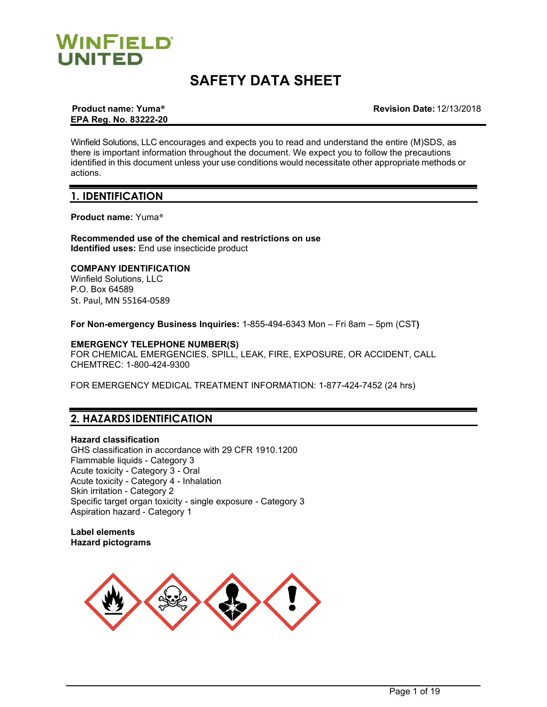

# **SAFETY DATA SHEET**

# **EPA Reg. No. 83222-20**

**Product name: Yuma® Revision Date:** 12/13/2018

Winfield Solutions, LLC encourages and expects you to read and understand the entire (M)SDS, as there is important information throughout the document. We expect you to follow the precautions identified in this document unless your use conditions would necessitate other appropriate methods or actions.

# **1. IDENTIFICATION**

**Product name:** Yuma®

### **Recommended use of the chemical and restrictions on use Identified uses:** End use insecticide product

### **COMPANY IDENTIFICATION**

Winfield Solutions, LLC P.O. Box 64589 St. Paul, MN 55164-0589

**For Non-emergency Business Inquiries:** 1-855-494-6343 Mon – Fri 8am – 5pm (CST**)**

# **EMERGENCY TELEPHONE NUMBER(S)**

FOR CHEMICAL EMERGENCIES, SPILL, LEAK, FIRE, EXPOSURE, OR ACCIDENT, CALL CHEMTREC: 1-800-424-9300

FOR EMERGENCY MEDICAL TREATMENT INFORMATION: 1-877-424-7452 (24 hrs)

# **2. HAZARDS IDENTIFICATION**

#### **Hazard classification**

GHS classification in accordance with 29 CFR 1910.1200 Flammable liquids - Category 3 Acute toxicity - Category 3 - Oral Acute toxicity - Category 4 - Inhalation Skin irritation - Category 2 Specific target organ toxicity - single exposure - Category 3 Aspiration hazard - Category 1

**Label elements Hazard pictograms**

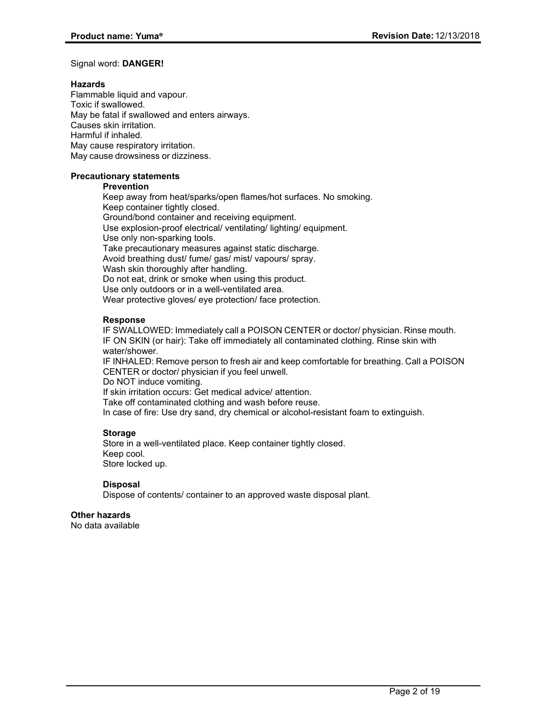#### Signal word: **DANGER!**

#### **Hazards**

Flammable liquid and vapour. Toxic if swallowed. May be fatal if swallowed and enters airways. Causes skin irritation. Harmful if inhaled. May cause respiratory irritation. May cause drowsiness or dizziness.

# **Precautionary statements**

### **Prevention**

Keep away from heat/sparks/open flames/hot surfaces. No smoking. Keep container tightly closed. Ground/bond container and receiving equipment. Use explosion-proof electrical/ ventilating/ lighting/ equipment. Use only non-sparking tools. Take precautionary measures against static discharge. Avoid breathing dust/ fume/ gas/ mist/ vapours/ spray. Wash skin thoroughly after handling. Do not eat, drink or smoke when using this product. Use only outdoors or in a well-ventilated area. Wear protective gloves/ eye protection/ face protection.

# **Response**

IF SWALLOWED: Immediately call a POISON CENTER or doctor/ physician. Rinse mouth. IF ON SKIN (or hair): Take off immediately all contaminated clothing. Rinse skin with water/shower.

IF INHALED: Remove person to fresh air and keep comfortable for breathing. Call a POISON CENTER or doctor/ physician if you feel unwell.

Do NOT induce vomiting.

If skin irritation occurs: Get medical advice/ attention.

Take off contaminated clothing and wash before reuse.

In case of fire: Use dry sand, dry chemical or alcohol-resistant foam to extinguish.

# **Storage**

Store in a well-ventilated place. Keep container tightly closed. Keep cool. Store locked up.

# **Disposal**

Dispose of contents/ container to an approved waste disposal plant.

# **Other hazards**

No data available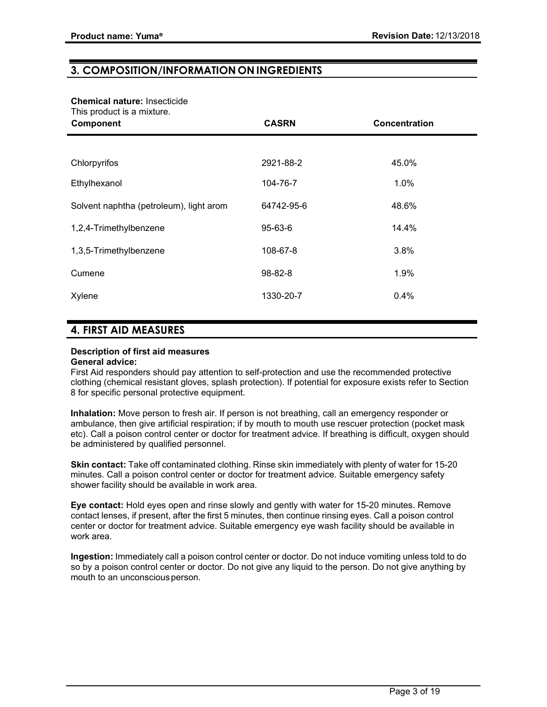# **3. COMPOSITION/INFORMATION ON INGREDIENTS**

# **Chemical nature:** Insecticide

This product is a mixture.

| .<br>---------------<br>Component       | <b>CASRN</b> | Concentration |
|-----------------------------------------|--------------|---------------|
|                                         |              |               |
| Chlorpyrifos                            | 2921-88-2    | 45.0%         |
| Ethylhexanol                            | 104-76-7     | 1.0%          |
| Solvent naphtha (petroleum), light arom | 64742-95-6   | 48.6%         |
| 1,2,4-Trimethylbenzene                  | 95-63-6      | 14.4%         |
| 1,3,5-Trimethylbenzene                  | 108-67-8     | 3.8%          |
| Cumene                                  | 98-82-8      | 1.9%          |
| Xylene                                  | 1330-20-7    | 0.4%          |

# **4. FIRST AID MEASURES**

# **Description of first aid measures**

### **General advice:**

First Aid responders should pay attention to self-protection and use the recommended protective clothing (chemical resistant gloves, splash protection). If potential for exposure exists refer to Section 8 for specific personal protective equipment.

**Inhalation:** Move person to fresh air. If person is not breathing, call an emergency responder or ambulance, then give artificial respiration; if by mouth to mouth use rescuer protection (pocket mask etc). Call a poison control center or doctor for treatment advice. If breathing is difficult, oxygen should be administered by qualified personnel.

**Skin contact:** Take off contaminated clothing. Rinse skin immediately with plenty of water for 15-20 minutes. Call a poison control center or doctor for treatment advice. Suitable emergency safety shower facility should be available in work area.

**Eye contact:** Hold eyes open and rinse slowly and gently with water for 15-20 minutes. Remove contact lenses, if present, after the first 5 minutes, then continue rinsing eyes. Call a poison control center or doctor for treatment advice. Suitable emergency eye wash facility should be available in work area.

**Ingestion:** Immediately call a poison control center or doctor. Do not induce vomiting unless told to do so by a poison control center or doctor. Do not give any liquid to the person. Do not give anything by mouth to an unconscious person.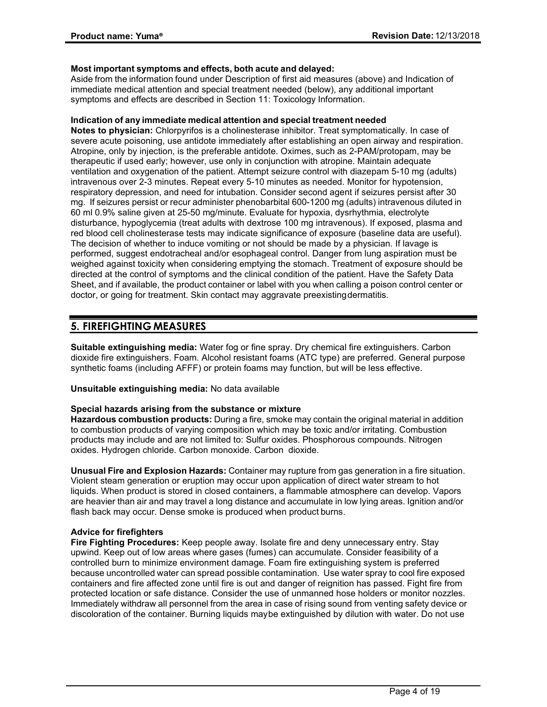#### **Most important symptoms and effects, both acute and delayed:**

Aside from the information found under Description of first aid measures (above) and Indication of immediate medical attention and special treatment needed (below), any additional important symptoms and effects are described in Section 11: Toxicology Information.

#### **Indication of any immediate medical attention and special treatment needed**

**Notes to physician:** Chlorpyrifos is a cholinesterase inhibitor. Treat symptomatically. In case of severe acute poisoning, use antidote immediately after establishing an open airway and respiration. Atropine, only by injection, is the preferable antidote. Oximes, such as 2-PAM/protopam, may be therapeutic if used early; however, use only in conjunction with atropine. Maintain adequate ventilation and oxygenation of the patient. Attempt seizure control with diazepam 5-10 mg (adults) intravenous over 2-3 minutes. Repeat every 5-10 minutes as needed. Monitor for hypotension, respiratory depression, and need for intubation. Consider second agent if seizures persist after 30 mg. If seizures persist or recur administer phenobarbital 600-1200 mg (adults) intravenous diluted in 60 ml 0.9% saline given at 25-50 mg/minute. Evaluate for hypoxia, dysrhythmia, electrolyte disturbance, hypoglycemia (treat adults with dextrose 100 mg intravenous). If exposed, plasma and red blood cell cholinesterase tests may indicate significance of exposure (baseline data are useful). The decision of whether to induce vomiting or not should be made by a physician. If lavage is performed, suggest endotracheal and/or esophageal control. Danger from lung aspiration must be weighed against toxicity when considering emptying the stomach. Treatment of exposure should be directed at the control of symptoms and the clinical condition of the patient. Have the Safety Data Sheet, and if available, the product container or label with you when calling a poison control center or doctor, or going for treatment. Skin contact may aggravate preexistingdermatitis.

# **5. FIREFIGHTING MEASURES**

**Suitable extinguishing media:** Water fog or fine spray. Dry chemical fire extinguishers. Carbon dioxide fire extinguishers. Foam. Alcohol resistant foams (ATC type) are preferred. General purpose synthetic foams (including AFFF) or protein foams may function, but will be less effective.

**Unsuitable extinguishing media:** No data available

#### **Special hazards arising from the substance or mixture**

**Hazardous combustion products:** During a fire, smoke may contain the original material in addition to combustion products of varying composition which may be toxic and/or irritating. Combustion products may include and are not limited to: Sulfur oxides. Phosphorous compounds. Nitrogen oxides. Hydrogen chloride. Carbon monoxide. Carbon dioxide.

**Unusual Fire and Explosion Hazards:** Container may rupture from gas generation in a fire situation. Violent steam generation or eruption may occur upon application of direct water stream to hot liquids. When product is stored in closed containers, a flammable atmosphere can develop. Vapors are heavier than air and may travel a long distance and accumulate in low lying areas. Ignition and/or flash back may occur. Dense smoke is produced when product burns.

# **Advice for firefighters**

**Fire Fighting Procedures:** Keep people away. Isolate fire and deny unnecessary entry. Stay upwind. Keep out of low areas where gases (fumes) can accumulate. Consider feasibility of a controlled burn to minimize environment damage. Foam fire extinguishing system is preferred because uncontrolled water can spread possible contamination. Use water spray to cool fire exposed containers and fire affected zone until fire is out and danger of reignition has passed. Fight fire from protected location or safe distance. Consider the use of unmanned hose holders or monitor nozzles. Immediately withdraw all personnel from the area in case of rising sound from venting safety device or discoloration of the container. Burning liquids maybe extinguished by dilution with water. Do not use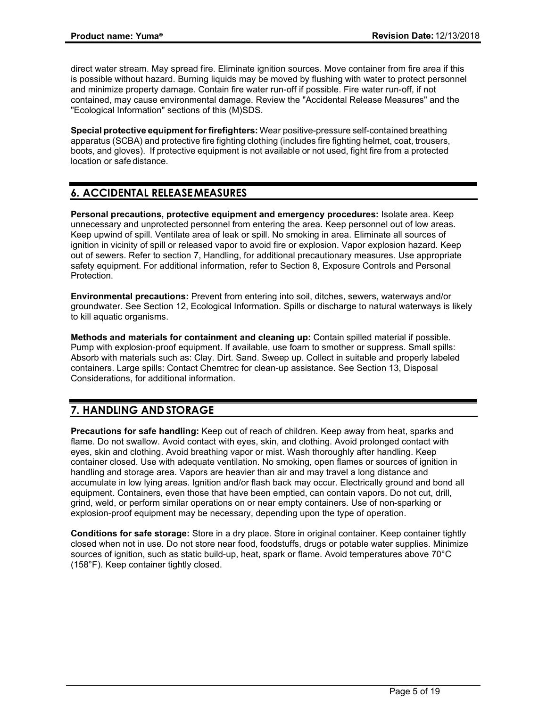direct water stream. May spread fire. Eliminate ignition sources. Move container from fire area if this is possible without hazard. Burning liquids may be moved by flushing with water to protect personnel and minimize property damage. Contain fire water run-off if possible. Fire water run-off, if not contained, may cause environmental damage. Review the "Accidental Release Measures" and the "Ecological Information" sections of this (M)SDS.

**Special protective equipment forfirefighters:** Wear positive-pressure self-contained breathing apparatus (SCBA) and protective fire fighting clothing (includes fire fighting helmet, coat, trousers, boots, and gloves). If protective equipment is not available or not used, fight fire from a protected location or safe distance.

# **6. ACCIDENTAL RELEASEMEASURES**

**Personal precautions, protective equipment and emergency procedures:** Isolate area. Keep unnecessary and unprotected personnel from entering the area. Keep personnel out of low areas. Keep upwind of spill. Ventilate area of leak or spill. No smoking in area. Eliminate all sources of ignition in vicinity of spill or released vapor to avoid fire or explosion. Vapor explosion hazard. Keep out of sewers. Refer to section 7, Handling, for additional precautionary measures. Use appropriate safety equipment. For additional information, refer to Section 8, Exposure Controls and Personal Protection.

**Environmental precautions:** Prevent from entering into soil, ditches, sewers, waterways and/or groundwater. See Section 12, Ecological Information. Spills or discharge to natural waterways is likely to kill aquatic organisms.

**Methods and materials for containment and cleaning up:** Contain spilled material if possible. Pump with explosion-proof equipment. If available, use foam to smother or suppress. Small spills: Absorb with materials such as: Clay. Dirt. Sand. Sweep up. Collect in suitable and properly labeled containers. Large spills: Contact Chemtrec for clean-up assistance. See Section 13, Disposal Considerations, for additional information.

# **7. HANDLING AND STORAGE**

**Precautions for safe handling:** Keep out of reach of children. Keep away from heat, sparks and flame. Do not swallow. Avoid contact with eyes, skin, and clothing. Avoid prolonged contact with eyes, skin and clothing. Avoid breathing vapor or mist. Wash thoroughly after handling. Keep container closed. Use with adequate ventilation. No smoking, open flames or sources of ignition in handling and storage area. Vapors are heavier than air and may travel a long distance and accumulate in low lying areas. Ignition and/or flash back may occur. Electrically ground and bond all equipment. Containers, even those that have been emptied, can contain vapors. Do not cut, drill, grind, weld, or perform similar operations on or near empty containers. Use of non-sparking or explosion-proof equipment may be necessary, depending upon the type of operation.

**Conditions for safe storage:** Store in a dry place. Store in original container. Keep container tightly closed when not in use. Do not store near food, foodstuffs, drugs or potable water supplies. Minimize sources of ignition, such as static build-up, heat, spark or flame. Avoid temperatures above 70°C (158°F). Keep container tightly closed.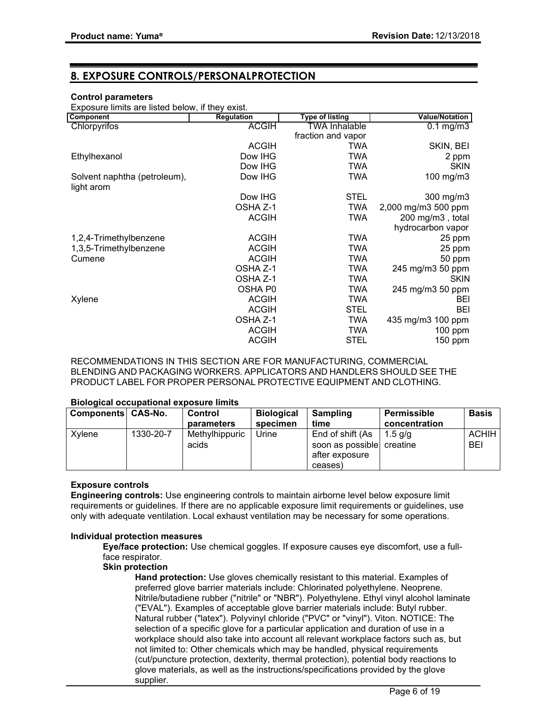# **8. EXPOSURE CONTROLS/PERSONALPROTECTION**

#### **Control parameters**

Exposure limits are listed below, if they exist.

| <b>Component</b>             | <b>Regulation</b> | Type of listing    | <b>Value/Notation</b> |
|------------------------------|-------------------|--------------------|-----------------------|
| Chlorpyrifos                 | <b>ACGIH</b>      | TWA Inhalable      | $0.1$ mg/m $3$        |
|                              |                   | fraction and vapor |                       |
|                              | <b>ACGIH</b>      | TWA                | SKIN, BEI             |
| Ethylhexanol                 | Dow IHG           | <b>TWA</b>         | 2 ppm                 |
|                              | Dow IHG           | TWA                | <b>SKIN</b>           |
| Solvent naphtha (petroleum), | Dow IHG           | TWA                | 100 mg/m3             |
| light arom                   |                   |                    |                       |
|                              | Dow IHG           | <b>STEL</b>        | 300 mg/m3             |
|                              | OSHA Z-1          | <b>TWA</b>         | 2,000 mg/m3 500 ppm   |
|                              | <b>ACGIH</b>      | <b>TWA</b>         | 200 mg/m3, total      |
|                              |                   |                    | hydrocarbon vapor     |
| 1,2,4-Trimethylbenzene       | <b>ACGIH</b>      | <b>TWA</b>         | 25 ppm                |
| 1,3,5-Trimethylbenzene       | <b>ACGIH</b>      | <b>TWA</b>         | 25 ppm                |
| Cumene                       | <b>ACGIH</b>      | TWA                | 50 ppm                |
|                              | OSHA Z-1          | <b>TWA</b>         | 245 mg/m3 50 ppm      |
|                              | OSHA Z-1          | TWA                | <b>SKIN</b>           |
|                              | OSHA P0           | <b>TWA</b>         | 245 mg/m3 50 ppm      |
| Xylene                       | <b>ACGIH</b>      | <b>TWA</b>         | BEI                   |
|                              | <b>ACGIH</b>      | <b>STEL</b>        | BEI                   |
|                              | OSHA Z-1          | <b>TWA</b>         | 435 mg/m3 100 ppm     |
|                              | <b>ACGIH</b>      | <b>TWA</b>         | 100 ppm               |
|                              | <b>ACGIH</b>      | <b>STEL</b>        | 150 ppm               |
|                              |                   |                    |                       |

RECOMMENDATIONS IN THIS SECTION ARE FOR MANUFACTURING, COMMERCIAL BLENDING AND PACKAGING WORKERS. APPLICATORS AND HANDLERS SHOULD SEE THE PRODUCT LABEL FOR PROPER PERSONAL PROTECTIVE EQUIPMENT AND CLOTHING.

#### **Biological occupational exposure limits**

| Components CAS-No. |           | Control<br>parameters   | <b>Biological</b><br>specimen | Sampling<br>time                                                | Permissible<br>concentration | <b>Basis</b>               |
|--------------------|-----------|-------------------------|-------------------------------|-----------------------------------------------------------------|------------------------------|----------------------------|
| Xylene             | 1330-20-7 | Methylhippuric<br>acids | Urine                         | End of shift (As<br>soon as possible creatine<br>after exposure | $1.5$ a/a                    | <b>ACHIH</b><br><b>BEI</b> |
|                    |           |                         |                               | ceases)                                                         |                              |                            |

# **Exposure controls**

**Engineering controls:** Use engineering controls to maintain airborne level below exposure limit requirements or guidelines. If there are no applicable exposure limit requirements or guidelines, use only with adequate ventilation. Local exhaust ventilation may be necessary for some operations.

#### **Individual protection measures**

**Eye/face protection:** Use chemical goggles. If exposure causes eye discomfort, use a fullface respirator.

#### **Skin protection**

**Hand protection:** Use gloves chemically resistant to this material. Examples of preferred glove barrier materials include: Chlorinated polyethylene. Neoprene. Nitrile/butadiene rubber ("nitrile" or "NBR"). Polyethylene. Ethyl vinyl alcohol laminate ("EVAL"). Examples of acceptable glove barrier materials include: Butyl rubber. Natural rubber ("latex"). Polyvinyl chloride ("PVC" or "vinyl"). Viton. NOTICE: The selection of a specific glove for a particular application and duration of use in a workplace should also take into account all relevant workplace factors such as, but not limited to: Other chemicals which may be handled, physical requirements (cut/puncture protection, dexterity, thermal protection), potential body reactions to glove materials, as well as the instructions/specifications provided by the glove supplier.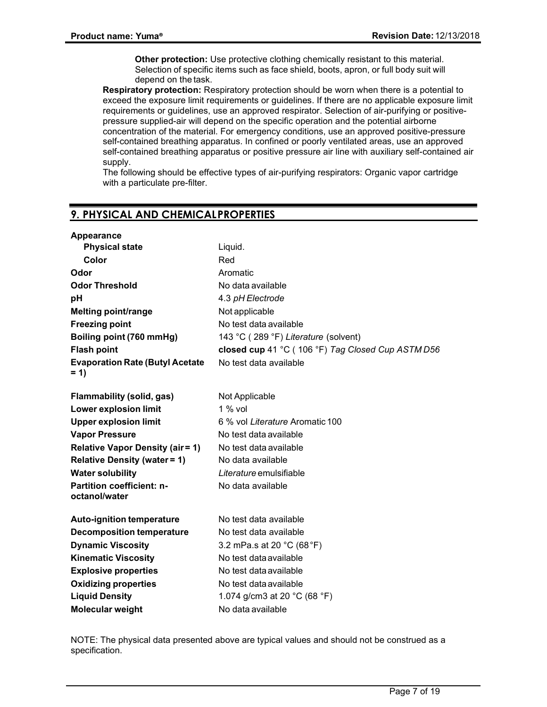**Other protection:** Use protective clothing chemically resistant to this material. Selection of specific items such as face shield, boots, apron, or full body suit will depend on the task.

**Respiratory protection:** Respiratory protection should be worn when there is a potential to exceed the exposure limit requirements or guidelines. If there are no applicable exposure limit requirements or guidelines, use an approved respirator. Selection of air-purifying or positivepressure supplied-air will depend on the specific operation and the potential airborne concentration of the material. For emergency conditions, use an approved positive-pressure self-contained breathing apparatus. In confined or poorly ventilated areas, use an approved self-contained breathing apparatus or positive pressure air line with auxiliary self-contained air supply.

The following should be effective types of air-purifying respirators: Organic vapor cartridge with a particulate pre-filter.

# **9. PHYSICAL AND CHEMICALPROPERTIES**

| <b>Appearance</b>                                 |                                                   |
|---------------------------------------------------|---------------------------------------------------|
| <b>Physical state</b>                             | Liquid.                                           |
| Color                                             | Red                                               |
| Odor                                              | Aromatic                                          |
| <b>Odor Threshold</b>                             | No data available                                 |
| рH                                                | 4.3 pH Electrode                                  |
| <b>Melting point/range</b>                        | Not applicable                                    |
| <b>Freezing point</b>                             | No test data available                            |
| Boiling point (760 mmHg)                          | 143 °C (289 °F) Literature (solvent)              |
| <b>Flash point</b>                                | closed cup 41 °C (106 °F) Tag Closed Cup ASTM D56 |
| <b>Evaporation Rate (Butyl Acetate</b><br>$= 1$   | No test data available                            |
| Flammability (solid, gas)                         | Not Applicable                                    |
| <b>Lower explosion limit</b>                      | $1\%$ vol                                         |
| <b>Upper explosion limit</b>                      | 6 % vol Literature Aromatic 100                   |
| <b>Vapor Pressure</b>                             | No test data available                            |
| <b>Relative Vapor Density (air = 1)</b>           | No test data available                            |
| <b>Relative Density (water = 1)</b>               | No data available                                 |
| <b>Water solubility</b>                           | Literature emulsifiable                           |
| <b>Partition coefficient: n-</b><br>octanol/water | No data available                                 |
| <b>Auto-ignition temperature</b>                  | No test data available                            |
| <b>Decomposition temperature</b>                  | No test data available                            |
| <b>Dynamic Viscosity</b>                          | 3.2 mPa.s at 20 °C (68 °F)                        |
| <b>Kinematic Viscosity</b>                        | No test data available                            |
| <b>Explosive properties</b>                       | No test data available                            |
| <b>Oxidizing properties</b>                       | No test data available                            |
| <b>Liquid Density</b>                             | 1.074 g/cm3 at 20 $^{\circ}$ C (68 $^{\circ}$ F)  |
| Molecular weight                                  | No data available                                 |

NOTE: The physical data presented above are typical values and should not be construed as a specification.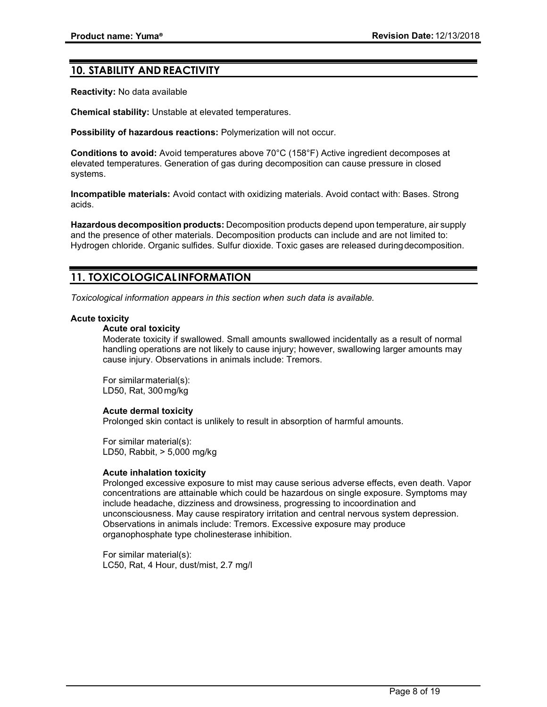# **10. STABILITY AND REACTIVITY**

**Reactivity:** No data available

**Chemical stability:** Unstable at elevated temperatures.

**Possibility of hazardous reactions:** Polymerization will not occur.

**Conditions to avoid:** Avoid temperatures above 70°C (158°F) Active ingredient decomposes at elevated temperatures. Generation of gas during decomposition can cause pressure in closed systems.

**Incompatible materials:** Avoid contact with oxidizing materials. Avoid contact with: Bases. Strong acids.

**Hazardous decomposition products:** Decomposition products depend upon temperature, air supply and the presence of other materials. Decomposition products can include and are not limited to: Hydrogen chloride. Organic sulfides. Sulfur dioxide. Toxic gases are released duringdecomposition.

# **11. TOXICOLOGICAL INFORMATION**

*Toxicological information appears in this section when such data is available.*

#### **Acute toxicity**

### **Acute oral toxicity**

Moderate toxicity if swallowed. Small amounts swallowed incidentally as a result of normal handling operations are not likely to cause injury; however, swallowing larger amounts may cause injury. Observations in animals include: Tremors.

For similarmaterial(s): LD50, Rat, 300mg/kg

# **Acute dermal toxicity**

Prolonged skin contact is unlikely to result in absorption of harmful amounts.

For similar material(s): LD50, Rabbit, > 5,000 mg/kg

#### **Acute inhalation toxicity**

Prolonged excessive exposure to mist may cause serious adverse effects, even death. Vapor concentrations are attainable which could be hazardous on single exposure. Symptoms may include headache, dizziness and drowsiness, progressing to incoordination and unconsciousness. May cause respiratory irritation and central nervous system depression. Observations in animals include: Tremors. Excessive exposure may produce organophosphate type cholinesterase inhibition.

For similar material(s): LC50, Rat, 4 Hour, dust/mist, 2.7 mg/l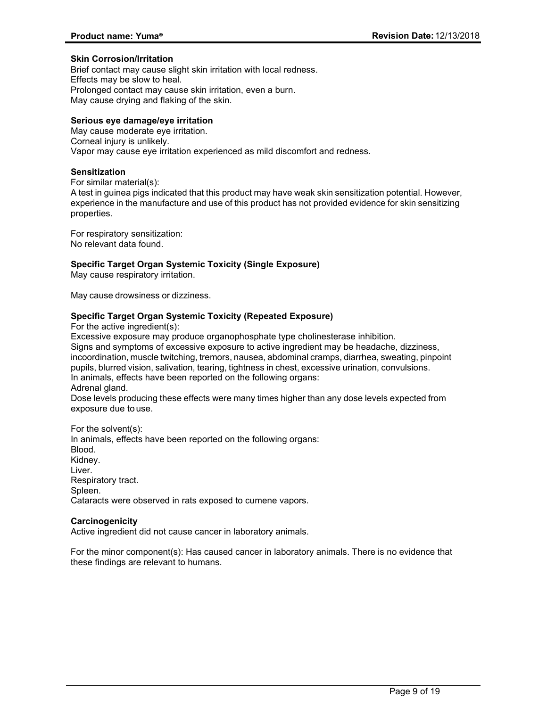#### **Skin Corrosion/Irritation**

Brief contact may cause slight skin irritation with local redness. Effects may be slow to heal. Prolonged contact may cause skin irritation, even a burn. May cause drying and flaking of the skin.

# **Serious eye damage/eye irritation**

May cause moderate eye irritation. Corneal injury is unlikely. Vapor may cause eye irritation experienced as mild discomfort and redness.

# **Sensitization**

For similar material(s):

A test in guinea pigs indicated that this product may have weak skin sensitization potential. However, experience in the manufacture and use of this product has not provided evidence for skin sensitizing properties.

For respiratory sensitization: No relevant data found.

# **Specific Target Organ Systemic Toxicity (Single Exposure)**

May cause respiratory irritation.

May cause drowsiness or dizziness.

### **Specific Target Organ Systemic Toxicity (Repeated Exposure)**

For the active ingredient(s):

Excessive exposure may produce organophosphate type cholinesterase inhibition. Signs and symptoms of excessive exposure to active ingredient may be headache, dizziness, incoordination, muscle twitching, tremors, nausea, abdominal cramps, diarrhea, sweating, pinpoint pupils, blurred vision, salivation, tearing, tightness in chest, excessive urination, convulsions. In animals, effects have been reported on the following organs: Adrenal gland. Dose levels producing these effects were many times higher than any dose levels expected from exposure due to use.

For the solvent(s): In animals, effects have been reported on the following organs: Blood. Kidney. Liver. Respiratory tract. Spleen. Cataracts were observed in rats exposed to cumene vapors.

#### **Carcinogenicity**

Active ingredient did not cause cancer in laboratory animals.

For the minor component(s): Has caused cancer in laboratory animals. There is no evidence that these findings are relevant to humans.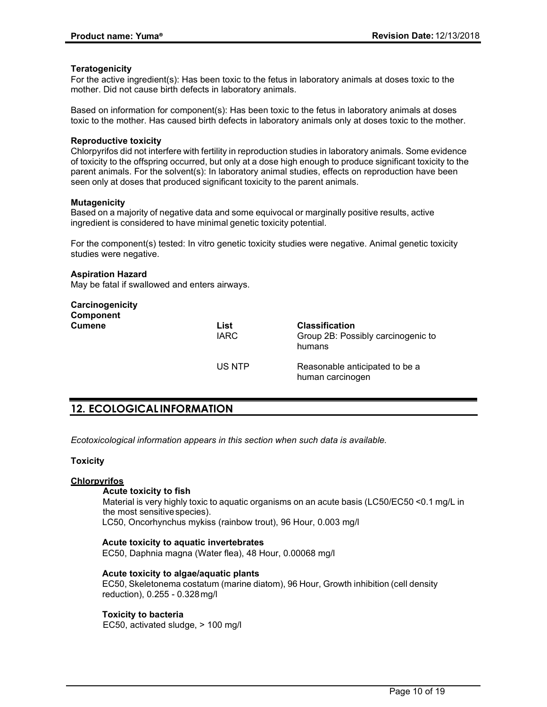#### **Teratogenicity**

For the active ingredient(s): Has been toxic to the fetus in laboratory animals at doses toxic to the mother. Did not cause birth defects in laboratory animals.

Based on information for component(s): Has been toxic to the fetus in laboratory animals at doses toxic to the mother. Has caused birth defects in laboratory animals only at doses toxic to the mother.

#### **Reproductive toxicity**

Chlorpyrifos did not interfere with fertility in reproduction studies in laboratory animals. Some evidence of toxicity to the offspring occurred, but only at a dose high enough to produce significant toxicity to the parent animals. For the solvent(s): In laboratory animal studies, effects on reproduction have been seen only at doses that produced significant toxicity to the parent animals.

#### **Mutagenicity**

Based on a majority of negative data and some equivocal or marginally positive results, active ingredient is considered to have minimal genetic toxicity potential.

For the component(s) tested: In vitro genetic toxicity studies were negative. Animal genetic toxicity studies were negative.

#### **Aspiration Hazard**

May be fatal if swallowed and enters airways.

| Carcinogenicity<br><b>Component</b> |                     |                                                                       |
|-------------------------------------|---------------------|-----------------------------------------------------------------------|
| <b>Cumene</b>                       | List<br><b>IARC</b> | <b>Classification</b><br>Group 2B: Possibly carcinogenic to<br>humans |
|                                     | US NTP              | Reasonable anticipated to be a<br>human carcinogen                    |

# **12. ECOLOGICAL INFORMATION**

*Ecotoxicological information appears in this section when such data is available.*

#### **Toxicity**

#### **Chlorpyrifos**

#### **Acute toxicity to fish**

Material is very highly toxic to aquatic organisms on an acute basis (LC50/EC50 <0.1 mg/L in the most sensitivespecies).

LC50, Oncorhynchus mykiss (rainbow trout), 96 Hour, 0.003 mg/l

#### **Acute toxicity to aquatic invertebrates**

EC50, Daphnia magna (Water flea), 48 Hour, 0.00068 mg/l

#### **Acute toxicity to algae/aquatic plants**

EC50, Skeletonema costatum (marine diatom), 96 Hour, Growth inhibition (cell density reduction), 0.255 - 0.328mg/l

#### **Toxicity to bacteria**

EC50, activated sludge, > 100 mg/l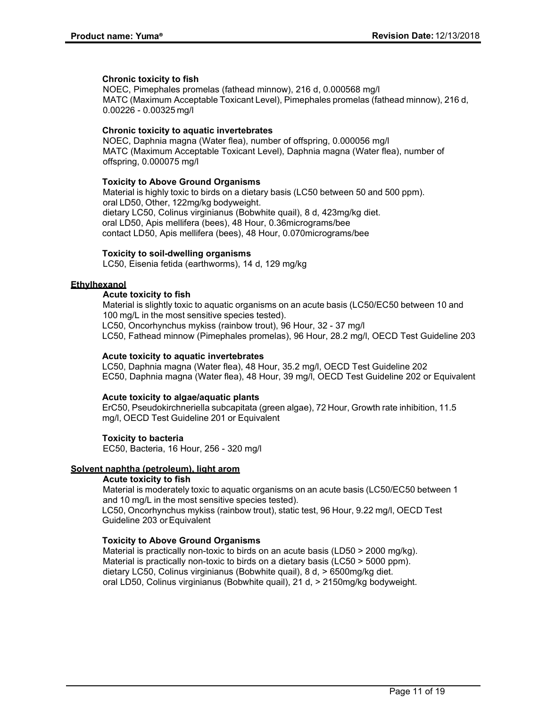#### **Chronic toxicity to fish**

NOEC, Pimephales promelas (fathead minnow), 216 d, 0.000568 mg/l MATC (Maximum Acceptable Toxicant Level), Pimephales promelas (fathead minnow), 216 d, 0.00226 - 0.00325 mg/l

### **Chronic toxicity to aquatic invertebrates**

NOEC, Daphnia magna (Water flea), number of offspring, 0.000056 mg/l MATC (Maximum Acceptable Toxicant Level), Daphnia magna (Water flea), number of offspring, 0.000075 mg/l

### **Toxicity to Above Ground Organisms**

Material is highly toxic to birds on a dietary basis (LC50 between 50 and 500 ppm). oral LD50, Other, 122mg/kg bodyweight. dietary LC50, Colinus virginianus (Bobwhite quail), 8 d, 423mg/kg diet. oral LD50, Apis mellifera (bees), 48 Hour, 0.36micrograms/bee contact LD50, Apis mellifera (bees), 48 Hour, 0.070micrograms/bee

#### **Toxicity to soil-dwelling organisms**

LC50, Eisenia fetida (earthworms), 14 d, 129 mg/kg

### **Ethylhexanol**

### **Acute toxicity to fish**

Material is slightly toxic to aquatic organisms on an acute basis (LC50/EC50 between 10 and 100 mg/L in the most sensitive species tested).

LC50, Oncorhynchus mykiss (rainbow trout), 96 Hour, 32 - 37 mg/l

LC50, Fathead minnow (Pimephales promelas), 96 Hour, 28.2 mg/l, OECD Test Guideline 203

#### **Acute toxicity to aquatic invertebrates**

LC50, Daphnia magna (Water flea), 48 Hour, 35.2 mg/l, OECD Test Guideline 202 EC50, Daphnia magna (Water flea), 48 Hour, 39 mg/l, OECD Test Guideline 202 or Equivalent

#### **Acute toxicity to algae/aquatic plants**

ErC50, Pseudokirchneriella subcapitata (green algae), 72 Hour, Growth rate inhibition, 11.5 mg/l, OECD Test Guideline 201 or Equivalent

#### **Toxicity to bacteria**

EC50, Bacteria, 16 Hour, 256 - 320 mg/l

#### **Solvent naphtha (petroleum), light arom**

# **Acute toxicity to fish**

Material is moderately toxic to aquatic organisms on an acute basis (LC50/EC50 between 1 and 10 mg/L in the most sensitive species tested).

LC50, Oncorhynchus mykiss (rainbow trout), static test, 96 Hour, 9.22 mg/l, OECD Test Guideline 203 orEquivalent

# **Toxicity to Above Ground Organisms**

Material is practically non-toxic to birds on an acute basis (LD50 > 2000 mg/kg). Material is practically non-toxic to birds on a dietary basis (LC50 > 5000 ppm). dietary LC50, Colinus virginianus (Bobwhite quail), 8 d, > 6500mg/kg diet. oral LD50, Colinus virginianus (Bobwhite quail), 21 d, > 2150mg/kg bodyweight.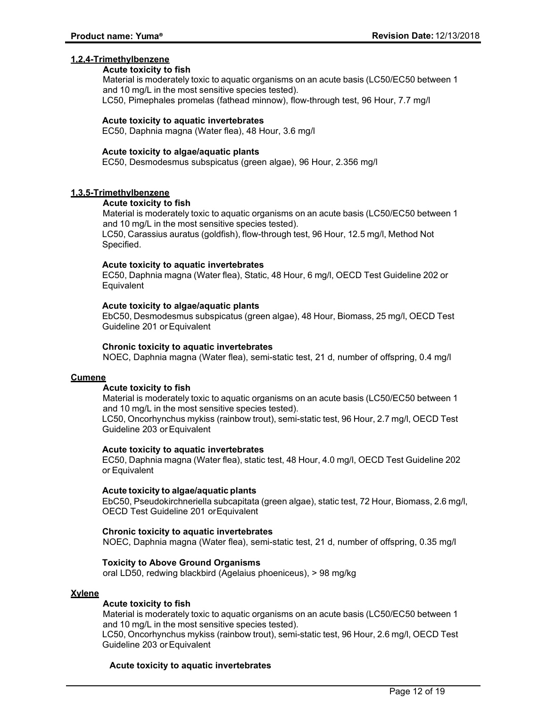### **1,2,4-Trimethylbenzene**

#### **Acute toxicity to fish**

Material is moderately toxic to aquatic organisms on an acute basis (LC50/EC50 between 1 and 10 mg/L in the most sensitive species tested).

LC50, Pimephales promelas (fathead minnow), flow-through test, 96 Hour, 7.7 mg/l

#### **Acute toxicity to aquatic invertebrates**

EC50, Daphnia magna (Water flea), 48 Hour, 3.6 mg/l

#### **Acute toxicity to algae/aquatic plants**

EC50, Desmodesmus subspicatus (green algae), 96 Hour, 2.356 mg/l

### **1,3,5-Trimethylbenzene**

# **Acute toxicity to fish**

Material is moderately toxic to aquatic organisms on an acute basis (LC50/EC50 between 1 and 10 mg/L in the most sensitive species tested). LC50, Carassius auratus (goldfish), flow-through test, 96 Hour, 12.5 mg/l, Method Not Specified.

#### **Acute toxicity to aquatic invertebrates**

EC50, Daphnia magna (Water flea), Static, 48 Hour, 6 mg/l, OECD Test Guideline 202 or **Equivalent** 

### **Acute toxicity to algae/aquatic plants**

EbC50, Desmodesmus subspicatus (green algae), 48 Hour, Biomass, 25 mg/l, OECD Test Guideline 201 orEquivalent

### **Chronic toxicity to aquatic invertebrates**

NOEC, Daphnia magna (Water flea), semi-static test, 21 d, number of offspring, 0.4 mg/l

#### **Cumene**

#### **Acute toxicity to fish**

Material is moderately toxic to aquatic organisms on an acute basis (LC50/EC50 between 1 and 10 mg/L in the most sensitive species tested).

LC50, Oncorhynchus mykiss (rainbow trout), semi-static test, 96 Hour, 2.7 mg/l, OECD Test Guideline 203 orEquivalent

#### **Acute toxicity to aquatic invertebrates**

EC50, Daphnia magna (Water flea), static test, 48 Hour, 4.0 mg/l, OECD Test Guideline 202 or Equivalent

#### **Acute toxicity to algae/aquatic plants**

EbC50, Pseudokirchneriella subcapitata (green algae), static test, 72 Hour, Biomass, 2.6 mg/l, OECD Test Guideline 201 orEquivalent

#### **Chronic toxicity to aquatic invertebrates**

NOEC, Daphnia magna (Water flea), semi-static test, 21 d, number of offspring, 0.35 mg/l

#### **Toxicity to Above Ground Organisms**

oral LD50, redwing blackbird (Agelaius phoeniceus), > 98 mg/kg

#### **Xylene**

# **Acute toxicity to fish**

Material is moderately toxic to aquatic organisms on an acute basis (LC50/EC50 between 1 and 10 mg/L in the most sensitive species tested).

LC50, Oncorhynchus mykiss (rainbow trout), semi-static test, 96 Hour, 2.6 mg/l, OECD Test Guideline 203 orEquivalent

#### **Acute toxicity to aquatic invertebrates**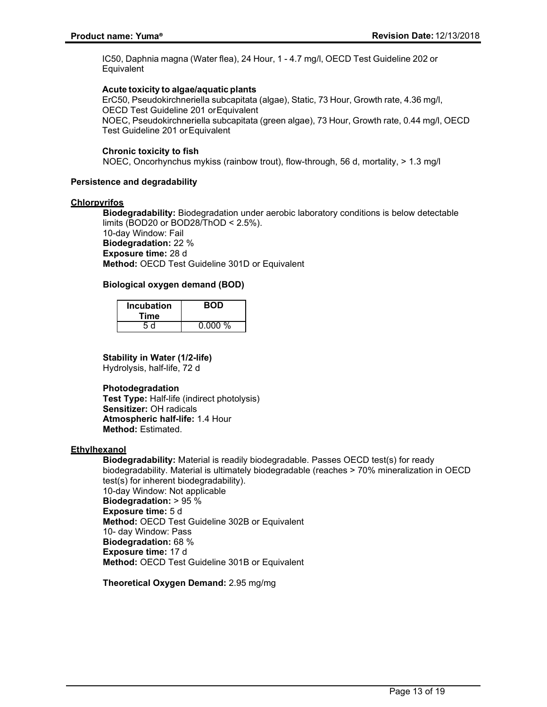IC50, Daphnia magna (Water flea), 24 Hour, 1 - 4.7 mg/l, OECD Test Guideline 202 or **Equivalent** 

#### **Acute toxicity to algae/aquatic plants**

ErC50, Pseudokirchneriella subcapitata (algae), Static, 73 Hour, Growth rate, 4.36 mg/l, OECD Test Guideline 201 orEquivalent NOEC, Pseudokirchneriella subcapitata (green algae), 73 Hour, Growth rate, 0.44 mg/l, OECD Test Guideline 201 orEquivalent

#### **Chronic toxicity to fish**

NOEC, Oncorhynchus mykiss (rainbow trout), flow-through, 56 d, mortality, > 1.3 mg/l

#### **Persistence and degradability**

#### **Chlorpyrifos**

**Biodegradability:** Biodegradation under aerobic laboratory conditions is below detectable limits (BOD20 or BOD28/ThOD < 2.5%). 10-day Window: Fail **Biodegradation:** 22 % **Exposure time:** 28 d **Method:** OECD Test Guideline 301D or Equivalent

# **Biological oxygen demand (BOD)**

| <b>Incubation</b><br>Time | <b>BOD</b> |
|---------------------------|------------|
| 5 d                       | 0.000%     |

### **Stability in Water (1/2-life)**

Hydrolysis, half-life, 72 d

#### **Photodegradation**

**Test Type:** Half-life (indirect photolysis) **Sensitizer:** OH radicals **Atmospheric half-life:** 1.4 Hour **Method:** Estimated.

#### **Ethylhexanol**

**Biodegradability:** Material is readily biodegradable. Passes OECD test(s) for ready biodegradability. Material is ultimately biodegradable (reaches > 70% mineralization in OECD test(s) for inherent biodegradability). 10-day Window: Not applicable **Biodegradation:** > 95 % **Exposure time:** 5 d **Method:** OECD Test Guideline 302B or Equivalent 10- day Window: Pass **Biodegradation:** 68 % **Exposure time:** 17 d **Method:** OECD Test Guideline 301B or Equivalent

**Theoretical Oxygen Demand:** 2.95 mg/mg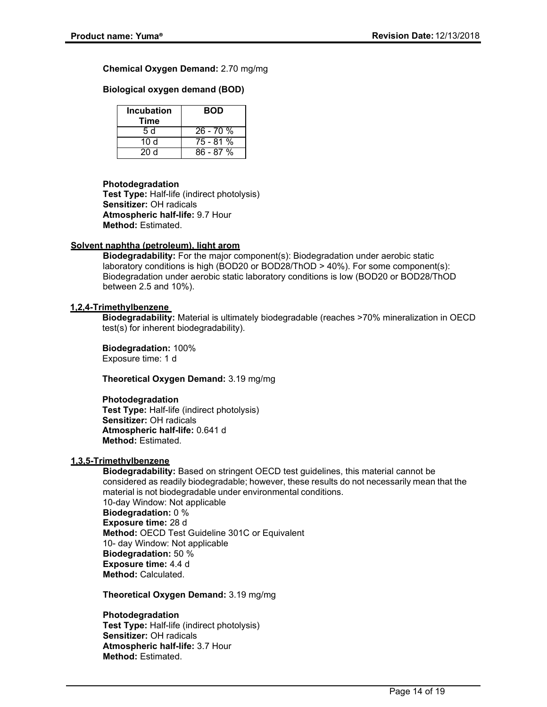**Chemical Oxygen Demand:** 2.70 mg/mg

**Biological oxygen demand (BOD)**

| <b>Incubation</b><br>Time | <b>BOD</b> |
|---------------------------|------------|
| 5 d                       | $26 - 70%$ |
| 10d                       | 75 - 81 %  |
| 20 Y                      | $86 - 87%$ |

#### **Photodegradation**

**Test Type:** Half-life (indirect photolysis) **Sensitizer:** OH radicals **Atmospheric half-life:** 9.7 Hour **Method:** Estimated.

### **Solvent naphtha (petroleum), light arom**

**Biodegradability:** For the major component(s): Biodegradation under aerobic static laboratory conditions is high (BOD20 or BOD28/ThOD > 40%). For some component(s): Biodegradation under aerobic static laboratory conditions is low (BOD20 or BOD28/ThOD between 2.5 and 10%).

### **1,2,4-Trimethylbenzene**

**Biodegradability:** Material is ultimately biodegradable (reaches >70% mineralization in OECD test(s) for inherent biodegradability).

**Biodegradation:** 100% Exposure time: 1 d

**Theoretical Oxygen Demand:** 3.19 mg/mg

#### **Photodegradation**

**Test Type:** Half-life (indirect photolysis) **Sensitizer:** OH radicals **Atmospheric half-life:** 0.641 d **Method:** Estimated.

#### **1,3,5-Trimethylbenzene**

**Biodegradability:** Based on stringent OECD test guidelines, this material cannot be considered as readily biodegradable; however, these results do not necessarily mean that the material is not biodegradable under environmental conditions. 10-day Window: Not applicable **Biodegradation:** 0 % **Exposure time:** 28 d **Method:** OECD Test Guideline 301C or Equivalent 10- day Window: Not applicable **Biodegradation:** 50 % **Exposure time:** 4.4 d **Method:** Calculated.

**Theoretical Oxygen Demand:** 3.19 mg/mg

**Photodegradation Test Type:** Half-life (indirect photolysis) **Sensitizer:** OH radicals **Atmospheric half-life:** 3.7 Hour **Method:** Estimated.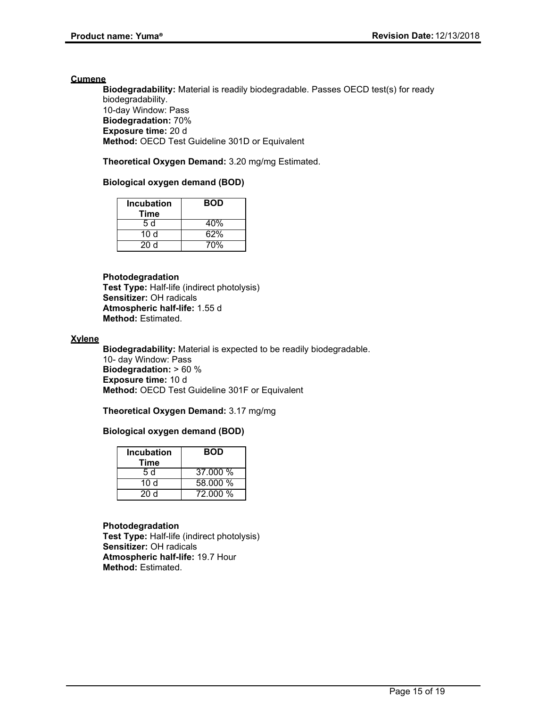#### **Cumene**

**Biodegradability:** Material is readily biodegradable. Passes OECD test(s) for ready biodegradability. 10-day Window: Pass **Biodegradation:** 70% **Exposure time:** 20 d **Method:** OECD Test Guideline 301D or Equivalent

**Theoretical Oxygen Demand:** 3.20 mg/mg Estimated.

### **Biological oxygen demand (BOD)**

| <b>Incubation</b><br>Time | <b>BOD</b> |
|---------------------------|------------|
| 5 d                       | 40%        |
| 10d                       | 62%        |
| 20d                       | 70%        |

#### **Photodegradation**

**Test Type:** Half-life (indirect photolysis) **Sensitizer:** OH radicals **Atmospheric half-life:** 1.55 d **Method:** Estimated.

#### **Xylene**

**Biodegradability:** Material is expected to be readily biodegradable. 10- day Window: Pass **Biodegradation:** > 60 % **Exposure time:** 10 d **Method:** OECD Test Guideline 301F or Equivalent

**Theoretical Oxygen Demand:** 3.17 mg/mg

#### **Biological oxygen demand (BOD)**

| <b>Incubation</b><br>Time | <b>BOD</b> |
|---------------------------|------------|
| 5 d                       | 37.000 %   |
| 10 d                      | 58.000 %   |
| 20d                       | 72.000 %   |

#### **Photodegradation**

**Test Type:** Half-life (indirect photolysis) **Sensitizer:** OH radicals **Atmospheric half-life:** 19.7 Hour **Method:** Estimated.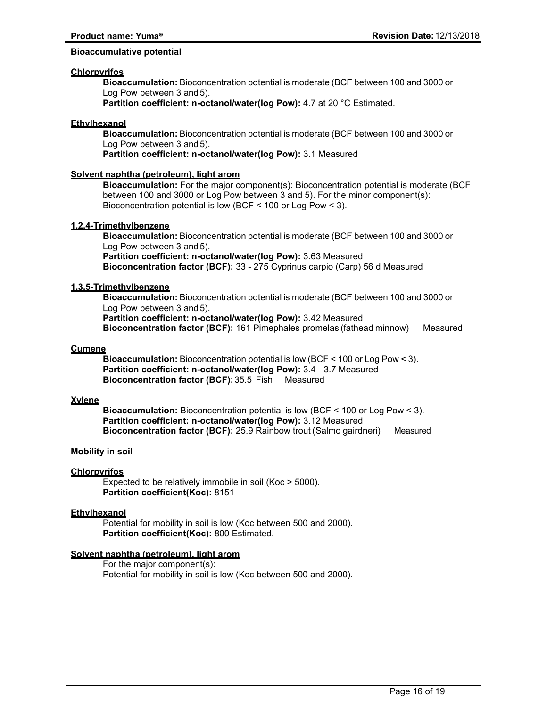#### **Bioaccumulative potential**

#### **Chlorpyrifos**

**Bioaccumulation:** Bioconcentration potential is moderate (BCF between 100 and 3000 or Log Pow between 3 and 5).

**Partition coefficient: n-octanol/water(log Pow): 4.7 at 20 °C Estimated.** 

#### **Ethylhexanol**

**Bioaccumulation:** Bioconcentration potential is moderate (BCF between 100 and 3000 or Log Pow between 3 and 5).

**Partition coefficient: n-octanol/water(log Pow):** 3.1 Measured

#### **Solvent naphtha (petroleum), light arom**

**Bioaccumulation:** For the major component(s): Bioconcentration potential is moderate (BCF between 100 and 3000 or Log Pow between 3 and 5). For the minor component(s): Bioconcentration potential is low (BCF < 100 or Log Pow < 3).

#### **1,2,4-Trimethylbenzene**

**Bioaccumulation:** Bioconcentration potential is moderate (BCF between 100 and 3000 or Log Pow between 3 and 5). **Partition coefficient: n-octanol/water(log Pow):** 3.63 Measured **Bioconcentration factor (BCF):** 33 - 275 Cyprinus carpio (Carp) 56 d Measured

#### **1,3,5-Trimethylbenzene**

**Bioaccumulation:** Bioconcentration potential is moderate (BCF between 100 and 3000 or Log Pow between 3 and 5). **Partition coefficient: n-octanol/water(log Pow):** 3.42 Measured

**Bioconcentration factor (BCF):** 161 Pimephales promelas (fathead minnow) Measured

#### **Cumene**

**Bioaccumulation:** Bioconcentration potential is low (BCF < 100 or Log Pow < 3). **Partition coefficient: n-octanol/water(log Pow):** 3.4 - 3.7 Measured **Bioconcentration factor (BCF):**35.5 Fish Measured

#### **Xylene**

**Bioaccumulation:** Bioconcentration potential is low (BCF < 100 or Log Pow < 3). **Partition coefficient: n-octanol/water(log Pow):** 3.12 Measured **Bioconcentration factor (BCF):** 25.9 Rainbow trout (Salmo gairdneri) Measured

#### **Mobility in soil**

#### **Chlorpyrifos**

Expected to be relatively immobile in soil (Koc > 5000). **Partition coefficient(Koc):** 8151

#### **Ethylhexanol**

Potential for mobility in soil is low (Koc between 500 and 2000). **Partition coefficient(Koc):** 800 Estimated.

#### **Solvent naphtha (petroleum), light arom**

For the major component(s): Potential for mobility in soil is low (Koc between 500 and 2000).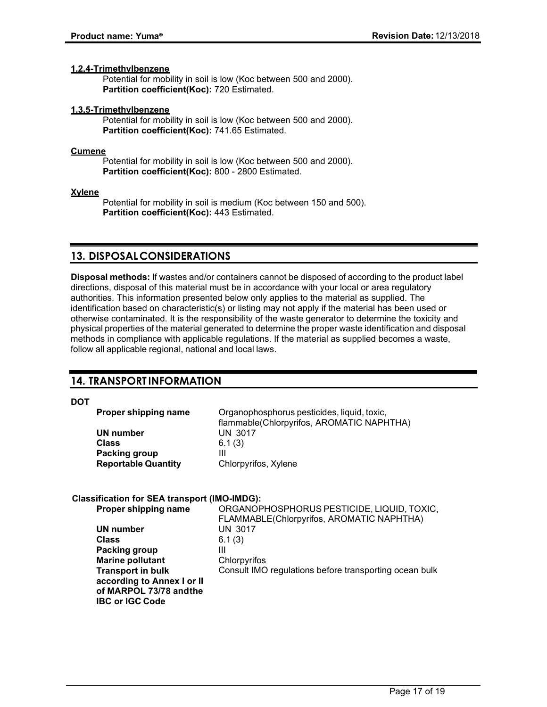#### **1,2,4-Trimethylbenzene**

Potential for mobility in soil is low (Koc between 500 and 2000). **Partition coefficient(Koc):** 720 Estimated.

#### **1,3,5-Trimethylbenzene**

Potential for mobility in soil is low (Koc between 500 and 2000). **Partition coefficient(Koc):** 741.65 Estimated.

#### **Cumene**

Potential for mobility in soil is low (Koc between 500 and 2000). Partition coefficient(Koc): 800 - 2800 Estimated.

#### **Xylene**

Potential for mobility in soil is medium (Koc between 150 and 500). **Partition coefficient(Koc):** 443 Estimated.

# **13. DISPOSALCONSIDERATIONS**

**Disposal methods:** If wastes and/or containers cannot be disposed of according to the product label directions, disposal of this material must be in accordance with your local or area regulatory authorities. This information presented below only applies to the material as supplied. The identification based on characteristic(s) or listing may not apply if the material has been used or otherwise contaminated. It is the responsibility of the waste generator to determine the toxicity and physical properties of the material generated to determine the proper waste identification and disposal methods in compliance with applicable regulations. If the material as supplied becomes a waste, follow all applicable regional, national and local laws.

# **14. TRANSPORT INFORMATION**

**DOT**

| Proper shipping name       | Organophosphorus pesticides, liquid, toxic,<br>flammable(Chlorpyrifos, AROMATIC NAPHTHA) |
|----------------------------|------------------------------------------------------------------------------------------|
| UN number                  | <b>UN 3017</b>                                                                           |
| Class                      | 6.1(3)                                                                                   |
| Packing group              |                                                                                          |
| <b>Reportable Quantity</b> | Chlorpyrifos, Xylene                                                                     |
|                            |                                                                                          |

# **Classification for SEA transport (IMO-IMDG):**

| Proper shipping name       | ORGANOPHOSPHORUS PESTICIDE, LIQUID, TOXIC,             |
|----------------------------|--------------------------------------------------------|
|                            | FLAMMABLE(Chlorpyrifos, AROMATIC NAPHTHA)              |
| UN number                  | <b>UN 3017</b>                                         |
| <b>Class</b>               | 6.1(3)                                                 |
| Packing group              | Ш                                                      |
| <b>Marine pollutant</b>    | Chlorpyrifos                                           |
| <b>Transport in bulk</b>   | Consult IMO regulations before transporting ocean bulk |
| according to Annex I or II |                                                        |
| of MARPOL 73/78 and the    |                                                        |
| <b>IBC or IGC Code</b>     |                                                        |
|                            |                                                        |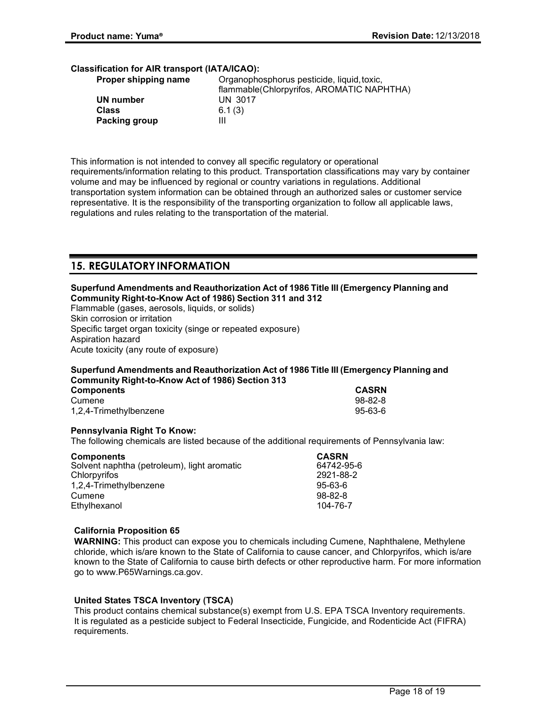# **Classification for AIR transport (IATA/ICAO):**

| Proper shipping name | Organophosphorus pesticide, liquid, toxic, |
|----------------------|--------------------------------------------|
|                      | flammable(Chlorpyrifos, AROMATIC NAPHTHA)  |
| UN number            | <b>UN 3017</b>                             |
| <b>Class</b>         | 6.1(3)                                     |
| Packing group        | Ш                                          |

This information is not intended to convey all specific regulatory or operational requirements/information relating to this product. Transportation classifications may vary by container volume and may be influenced by regional or country variations in regulations. Additional transportation system information can be obtained through an authorized sales or customer service representative. It is the responsibility of the transporting organization to follow all applicable laws, regulations and rules relating to the transportation of the material.

# **15. REGULATORYINFORMATION**

#### **Superfund Amendments and Reauthorization Act of 1986 Title III (Emergency Planning and Community Right-to-Know Act of 1986) Section 311 and 312**

Flammable (gases, aerosols, liquids, or solids) Skin corrosion or irritation Specific target organ toxicity (singe or repeated exposure) Aspiration hazard Acute toxicity (any route of exposure)

# **Superfund Amendments and Reauthorization Act of 1986 Title III (Emergency Planning and Community Right-to-Know Act of 1986) Section 313**

| <b>Components</b>      | <b>CASRN</b> |
|------------------------|--------------|
| Cumene                 | 98-82-8      |
| 1,2,4-Trimethylbenzene | 95-63-6      |

# **Pennsylvania Right To Know:**

The following chemicals are listed because of the additional requirements of Pennsylvania law:

| <b>Components</b>                           | <b>CASRN</b>  |
|---------------------------------------------|---------------|
| Solvent naphtha (petroleum), light aromatic | 64742-95-6    |
| Chlorpyrifos                                | 2921-88-2     |
| 1,2,4-Trimethylbenzene                      | $95 - 63 - 6$ |
| Cumene                                      | $98 - 82 - 8$ |
| Ethylhexanol                                | 104-76-7      |

# **California Proposition 65**

**WARNING:** This product can expose you to chemicals including Cumene, Naphthalene, Methylene chloride, which is/are known to the State of California to cause cancer, and Chlorpyrifos, which is/are known to the State of California to cause birth defects or other reproductive harm. For more information go to www.P65Warnings.ca.gov.

# **United States TSCA Inventory (TSCA)**

This product contains chemical substance(s) exempt from U.S. EPA TSCA Inventory requirements. It is regulated as a pesticide subject to Federal Insecticide, Fungicide, and Rodenticide Act (FIFRA) requirements.